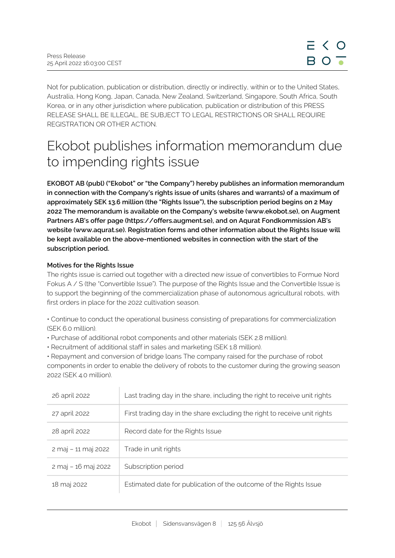Not for publication, publication or distribution, directly or indirectly, within or to the United States, Australia, Hong Kong, Japan, Canada, New Zealand, Switzerland, Singapore, South Africa, South Korea, or in any other jurisdiction where publication, publication or distribution of this PRESS RELEASE SHALL BE ILLEGAL, BE SUBJECT TO LEGAL RESTRICTIONS OR SHALL REQUIRE REGISTRATION OR OTHER ACTION.

# Ekobot publishes information memorandum due to impending rights issue

**EKOBOT AB (publ) ("Ekobot" or "the Company") hereby publishes an information memorandum in connection with the Company's rights issue of units (shares and warrants) of a maximum of approximately SEK 13.6 million (the "Rights Issue"), the subscription period begins on 2 May 2022 The memorandum is available on the Company's website (www.ekobot.se), on Augment Partners AB's offer page (https://offers.augment.se), and on Aqurat Fondkommission AB's website (www.aqurat.se). Registration forms and other information about the Rights Issue will be kept available on the above-mentioned websites in connection with the start of the subscription period.**

# **Motives for the Rights Issue**

The rights issue is carried out together with a directed new issue of convertibles to Formue Nord Fokus A / S (the "Convertible Issue"). The purpose of the Rights Issue and the Convertible Issue is to support the beginning of the commercialization phase of autonomous agricultural robots, with first orders in place for the 2022 cultivation season.

• Continue to conduct the operational business consisting of preparations for commercialization (SEK 6.0 million).

- Purchase of additional robot components and other materials (SEK 2.8 million).
- Recruitment of additional staff in sales and marketing (SEK 1.8 million).

• Repayment and conversion of bridge loans The company raised for the purchase of robot components in order to enable the delivery of robots to the customer during the growing season 2022 (SEK 4.0 million).

| 26 april 2022       | Last trading day in the share, including the right to receive unit rights |
|---------------------|---------------------------------------------------------------------------|
| 27 april 2022       | First trading day in the share excluding the right to receive unit rights |
| 28 april 2022       | Record date for the Rights Issue                                          |
| 2 maj - 11 maj 2022 | Trade in unit rights                                                      |
| 2 maj - 16 maj 2022 | Subscription period                                                       |
| 18 maj 2022         | Estimated date for publication of the outcome of the Rights Issue         |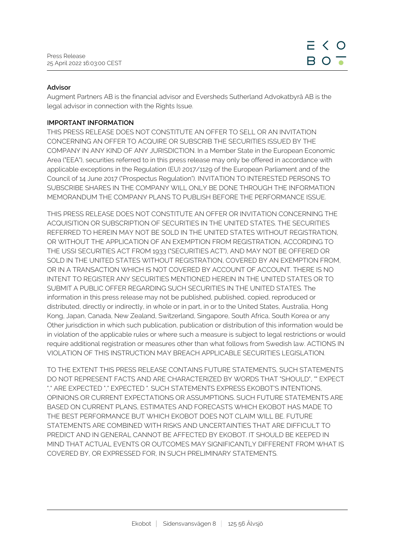## **Advisor**

Augment Partners AB is the financial advisor and Eversheds Sutherland Advokatbyrå AB is the legal advisor in connection with the Rights Issue.

## **IMPORTANT INFORMATION**

THIS PRESS RELEASE DOES NOT CONSTITUTE AN OFFER TO SELL OR AN INVITATION CONCERNING AN OFFER TO ACQUIRE OR SUBSCRIB THE SECURITIES ISSUED BY THE COMPANY IN ANY KIND OF ANY JURISDICTION. In a Member State in the European Economic Area ("EEA"), securities referred to in this press release may only be offered in accordance with applicable exceptions in the Regulation (EU) 2017/1129 of the European Parliament and of the Council of 14 June 2017 ("Prospectus Regulation"). INVITATION TO INTERESTED PERSONS TO SUBSCRIBE SHARES IN THE COMPANY WILL ONLY BE DONE THROUGH THE INFORMATION MEMORANDUM THE COMPANY PLANS TO PUBLISH BEFORE THE PERFORMANCE ISSUE.

THIS PRESS RELEASE DOES NOT CONSTITUTE AN OFFER OR INVITATION CONCERNING THE ACQUISITION OR SUBSCRIPTION OF SECURITIES IN THE UNITED STATES. THE SECURITIES REFERRED TO HEREIN MAY NOT BE SOLD IN THE UNITED STATES WITHOUT REGISTRATION, OR WITHOUT THE APPLICATION OF AN EXEMPTION FROM REGISTRATION, ACCORDING TO THE USSI SECURITIES ACT FROM 1933 ("SECURITIES ACT"), AND MAY NOT BE OFFERED OR SOLD IN THE UNITED STATES WITHOUT REGISTRATION, COVERED BY AN EXEMPTION FROM, OR IN A TRANSACTION WHICH IS NOT COVERED BY ACCOUNT OF ACCOUNT. THERE IS NO INTENT TO REGISTER ANY SECURITIES MENTIONED HEREIN IN THE UNITED STATES OR TO SUBMIT A PUBLIC OFFER REGARDING SUCH SECURITIES IN THE UNITED STATES. The information in this press release may not be published, published, copied, reproduced or distributed, directly or indirectly, in whole or in part, in or to the United States, Australia, Hong Kong, Japan, Canada, New Zealand, Switzerland, Singapore, South Africa, South Korea or any Other jurisdiction in which such publication, publication or distribution of this information would be in violation of the applicable rules or where such a measure is subject to legal restrictions or would require additional registration or measures other than what follows from Swedish law. ACTIONS IN VIOLATION OF THIS INSTRUCTION MAY BREACH APPLICABLE SECURITIES LEGISLATION.

TO THE EXTENT THIS PRESS RELEASE CONTAINS FUTURE STATEMENTS, SUCH STATEMENTS DO NOT REPRESENT FACTS AND ARE CHARACTERIZED BY WORDS THAT "SHOULD", "" EXPECT "," ARE EXPECTED "," EXPECTED ". SUCH STATEMENTS EXPRESS EKOBOT'S INTENTIONS, OPINIONS OR CURRENT EXPECTATIONS OR ASSUMPTIONS. SUCH FUTURE STATEMENTS ARE BASED ON CURRENT PLANS, ESTIMATES AND FORECASTS WHICH EKOBOT HAS MADE TO THE BEST PERFORMANCE BUT WHICH EKOBOT DOES NOT CLAIM WILL BE. FUTURE STATEMENTS ARE COMBINED WITH RISKS AND UNCERTAINTIES THAT ARE DIFFICULT TO PREDICT AND IN GENERAL CANNOT BE AFFECTED BY EKOBOT. IT SHOULD BE KEEPED IN MIND THAT ACTUAL EVENTS OR OUTCOMES MAY SIGNIFICANTLY DIFFERENT FROM WHAT IS COVERED BY, OR EXPRESSED FOR, IN SUCH PRELIMINARY STATEMENTS.